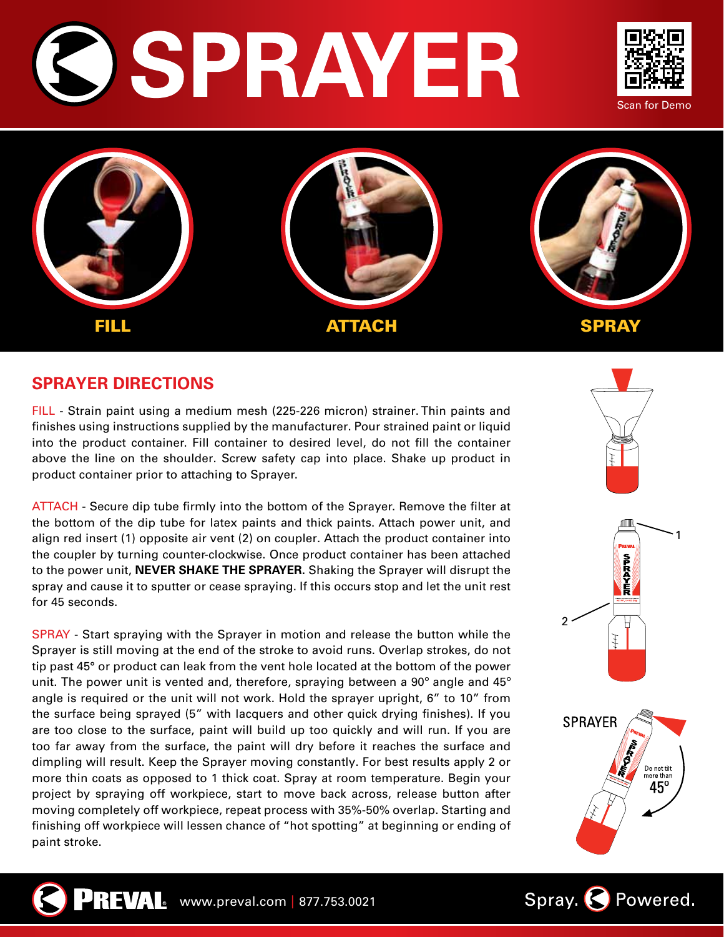# SPRAYER





### **SPRAYER DIRECTIONS**

FILL - Strain paint using a medium mesh (225-226 micron) strainer. Thin paints and finishes using instructions supplied by the manufacturer. Pour strained paint or liquid into the product container. Fill container to desired level, do not fill the container above the line on the shoulder. Screw safety cap into place. Shake up product in product container prior to attaching to Sprayer.

ATTACH - Secure dip tube firmly into the bottom of the Sprayer. Remove the filter at the bottom of the dip tube for latex paints and thick paints. Attach power unit, and align red insert (1) opposite air vent (2) on coupler. Attach the product container into the coupler by turning counter-clockwise. Once product container has been attached to the power unit, **Never shake the Sprayer.** Shaking the Sprayer will disrupt the spray and cause it to sputter or cease spraying. If this occurs stop and let the unit rest for 45 seconds.

SPRAY - Start spraying with the Sprayer in motion and release the button while the Sprayer is still moving at the end of the stroke to avoid runs. Overlap strokes, do not tip past 45° or product can leak from the vent hole located at the bottom of the power unit. The power unit is vented and, therefore, spraying between a  $90^\circ$  angle and  $45^\circ$ angle is required or the unit will not work. Hold the sprayer upright, 6" to 10" from the surface being sprayed (5" with lacquers and other quick drying finishes). If you are too close to the surface, paint will build up too quickly and will run. If you are too far away from the surface, the paint will dry before it reaches the surface and dimpling will result. Keep the Sprayer moving constantly. For best results apply 2 or more thin coats as opposed to 1 thick coat. Spray at room temperature. Begin your project by spraying off workpiece, start to move back across, release button after moving completely off workpiece, repeat process with 35%-50% overlap. Starting and finishing off workpiece will lessen chance of "hot spotting" at beginning or ending of paint stroke.



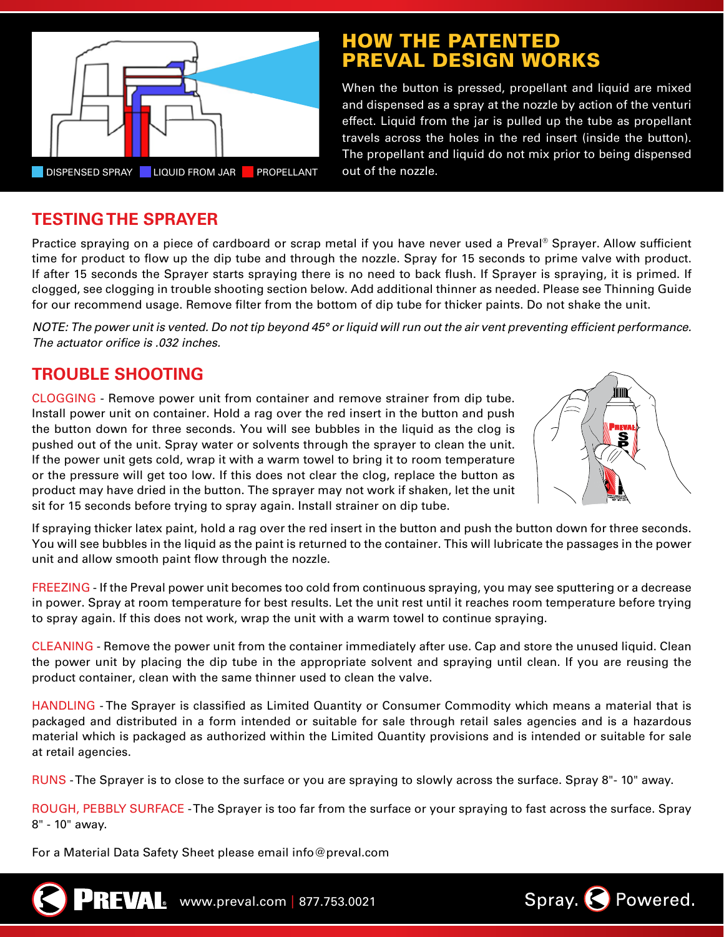

# **HOW THE PATENTED** PREVAL DESIGN WORK

When the button is pressed, propellant and liquid are mixed and dispensed as a spray at the nozzle by action of the venturi effect. Liquid from the jar is pulled up the tube as propellant travels across the holes in the red insert (inside the button). The propellant and liquid do not mix prior to being dispensed

# **TESTING THE SPRAYER**

Practice spraying on a piece of cardboard or scrap metal if you have never used a Preval® Sprayer. Allow sufficient time for product to flow up the dip tube and through the nozzle. Spray for 15 seconds to prime valve with product. If after 15 seconds the Sprayer starts spraying there is no need to back flush. If Sprayer is spraying, it is primed. If clogged, see clogging in trouble shooting section below. Add additional thinner as needed. Please see Thinning Guide for our recommend usage. Remove filter from the bottom of dip tube for thicker paints. Do not shake the unit.

*Note: The power unit is vented. Do not tip beyond 45° or liquid will run out the air vent preventing efficient performance. The actuator orifice is .032 inches.*

## **Trouble SHooting**

Clogging - Remove power unit from container and remove strainer from dip tube. Install power unit on container. Hold a rag over the red insert in the button and push the button down for three seconds. You will see bubbles in the liquid as the clog is pushed out of the unit. Spray water or solvents through the sprayer to clean the unit. If the power unit gets cold, wrap it with a warm towel to bring it to room temperature or the pressure will get too low. If this does not clear the clog, replace the button as product may have dried in the button. The sprayer may not work if shaken, let the unit sit for 15 seconds before trying to spray again. Install strainer on dip tube.



If spraying thicker latex paint, hold a rag over the red insert in the button and push the button down for three seconds. You will see bubbles in the liquid as the paint is returned to the container. This will lubricate the passages in the power unit and allow smooth paint flow through the nozzle.

FREEZING - If the Preval power unit becomes too cold from continuous spraying, you may see sputtering or a decrease in power. Spray at room temperature for best results. Let the unit rest until it reaches room temperature before trying to spray again. If this does not work, wrap the unit with a warm towel to continue spraying.

CLEANING - Remove the power unit from the container immediately after use. Cap and store the unused liquid. Clean the power unit by placing the dip tube in the appropriate solvent and spraying until clean. If you are reusing the product container, clean with the same thinner used to clean the valve.

HANDLING - The Sprayer is classified as Limited Quantity or Consumer Commodity which means a material that is packaged and distributed in a form intended or suitable for sale through retail sales agencies and is a hazardous material which is packaged as authorized within the Limited Quantity provisions and is intended or suitable for sale at retail agencies.

RUNS - The Sprayer is to close to the surface or you are spraying to slowly across the surface. Spray 8"- 10" away.

ROUGH, PEBBLY SURFACE - The Sprayer is too far from the surface or your spraying to fast across the surface. Spray 8" - 10" away.

For a Material Data Safety Sheet please email info@preval.com